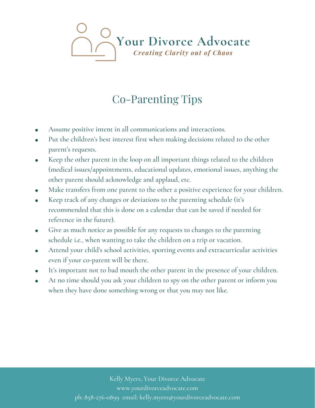## Your Divorce Advocate

## Co-Parenting Tips

- Assume positive intent in all communications and interactions.
- Put the children's best interest first when making decisions related to the other parent's requests.
- Keep the other parent in the loop on all important things related to the children  $\bullet$ (medical issues/appointments, educational updates, emotional issues, anything the other parent should acknowledge and applaud, etc.
- Make transfers from one parent to the other a positive experience for your children.
- Keep track of any changes or deviations to the parenting schedule (it's  $\bullet$ recommended that this is done on a calendar that can be saved if needed for reference in the future).
- Give as much notice as possible for any requests to changes to the parenting  $\bullet$ schedule i.e., when wanting to take the children on a trip or vacation.
- Attend your child's school activities, sporting events and extracurricular activities  $\bullet$ even if your co-parent will be there.
- It's important not to bad mouth the other parent in the presence of your children.
- At no time should you ask your children to spy on the other parent or inform you  $\bullet$ when they have done something wrong or that you may not like.